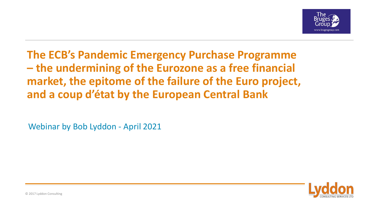

**The ECB's Pandemic Emergency Purchase Programme – the undermining of the Eurozone as a free financial market, the epitome of the failure of the Euro project, and a coup d'état by the European Central Bank**

Webinar by Bob Lyddon - April 2021

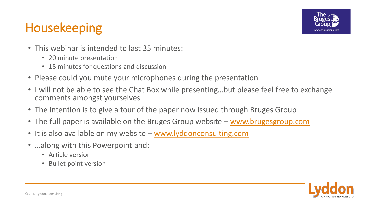# Housekeeping



- This webinar is intended to last 35 minutes:
	- 20 minute presentation
	- 15 minutes for questions and discussion
- Please could you mute your microphones during the presentation
- I will not be able to see the Chat Box while presenting…but please feel free to exchange comments amongst yourselves
- The intention is to give a tour of the paper now issued through Bruges Group
- The full paper is available on the Bruges Group website [www.brugesgroup.com](http://www.brugesgroup.com/)
- It is also available on my website [www.lyddonconsulting.com](http://www.lyddonconsulting.com/)
- …along with this Powerpoint and:
	- Article version
	- Bullet point version

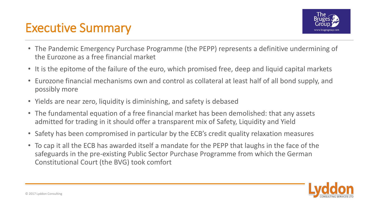### Executive Summary



- The Pandemic Emergency Purchase Programme (the PEPP) represents a definitive undermining of the Eurozone as a free financial market
- It is the epitome of the failure of the euro, which promised free, deep and liquid capital markets
- Eurozone financial mechanisms own and control as collateral at least half of all bond supply, and possibly more
- Yields are near zero, liquidity is diminishing, and safety is debased
- The fundamental equation of a free financial market has been demolished: that any assets admitted for trading in it should offer a transparent mix of Safety, Liquidity and Yield
- Safety has been compromised in particular by the ECB's credit quality relaxation measures
- To cap it all the ECB has awarded itself a mandate for the PEPP that laughs in the face of the safeguards in the pre-existing Public Sector Purchase Programme from which the German Constitutional Court (the BVG) took comfort

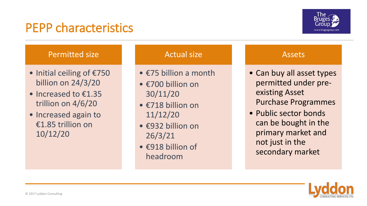### PEPP characteristics



#### Permitted size

- Initial ceiling of €750 billion on 24/3/20
- Increased to €1.35 trillion on 4/6/20
- Increased again to €1.85 trillion on 10/12/20

#### Actual size

- €75 billion a month
- €700 billion on 30/11/20
- €718 billion on 11/12/20
- €932 billion on 26/3/21
- €918 billion of headroom

#### Assets

- Can buy all asset types permitted under preexisting Asset Purchase Programmes
- Public sector bonds can be bought in the primary market and not just in the secondary market

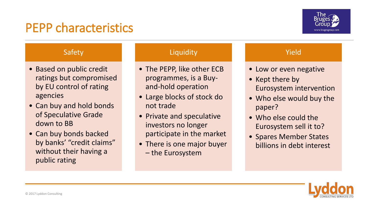### PEPP characteristics



#### Safety

- Based on public credit ratings but compromised by EU control of rating agencies
- Can buy and hold bonds of Speculative Grade down to BB
- Can buy bonds backed by banks' "credit claims" without their having a public rating

#### **Liquidity**

- The PEPP, like other ECB programmes, is a Buyand-hold operation
- Large blocks of stock do not trade
- Private and speculative investors no longer participate in the market
- There is one major buyer – the Eurosystem

#### Yield

- Low or even negative
- Kept there by Eurosystem intervention
- Who else would buy the paper?
- Who else could the Eurosystem sell it to?
- Spares Member States billions in debt interest

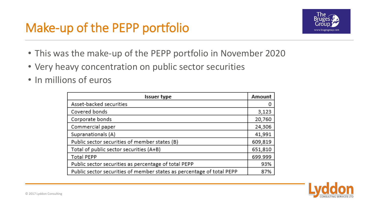# Make-up of the PEPP portfolio



- This was the make-up of the PEPP portfolio in November 2020
- Very heavy concentration on public sector securities
- In millions of euros

| <b>Issuer type</b>                                                    |         |  |  |  |  |  |  |
|-----------------------------------------------------------------------|---------|--|--|--|--|--|--|
| Asset-backed securities                                               | 0       |  |  |  |  |  |  |
| Covered bonds                                                         | 3,123   |  |  |  |  |  |  |
| Corporate bonds                                                       | 20,760  |  |  |  |  |  |  |
| Commercial paper                                                      | 24,306  |  |  |  |  |  |  |
| Supranationals (A)                                                    | 41,991  |  |  |  |  |  |  |
| Public sector securities of member states (B)                         | 609,819 |  |  |  |  |  |  |
| Total of public sector securities (A+B)                               | 651,810 |  |  |  |  |  |  |
| <b>Total PEPP</b>                                                     |         |  |  |  |  |  |  |
| Public sector securities as percentage of total PEPP                  |         |  |  |  |  |  |  |
| Public sector securities of member states as percentage of total PEPP | 87%     |  |  |  |  |  |  |

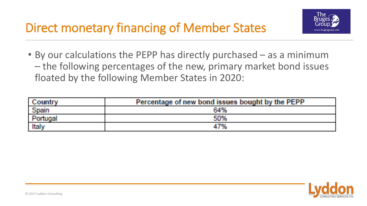

• By our calculations the PEPP has directly purchased – as a minimum – the following percentages of the new, primary market bond issues floated by the following Member States in 2020:

| Country  | Percentage of new bond issues bought by the PEPP |
|----------|--------------------------------------------------|
| Spain    | 64%                                              |
| Portugal | 50%                                              |
| Italy    | 47%                                              |

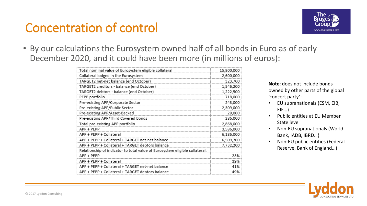## Concentration of control



• By our calculations the Eurosystem owned half of all bonds in Euro as of early December 2020, and it could have been more (in millions of euros):

| Total nominal value of Eurosystem eligible collateral                       | 15,800,000 |  |  |  |  |
|-----------------------------------------------------------------------------|------------|--|--|--|--|
| Collateral lodged in the Eurosystem                                         | 2,600,000  |  |  |  |  |
| TARGET2 net-net balance (end October)                                       | 323,700    |  |  |  |  |
| TARGET2 creditors - balance (end October)                                   | 1,546,200  |  |  |  |  |
| TARGET2 debtors - balance (end October)                                     | 1,222,500  |  |  |  |  |
| PEPP portfolio                                                              | 718,000    |  |  |  |  |
| Pre-existing APP/Corporate Sector                                           | 243,000    |  |  |  |  |
| Pre-existing APP/Public Sector                                              | 2,309,000  |  |  |  |  |
| Pre-existing APP/Asset-Backed                                               | 29,000     |  |  |  |  |
| Pre-existing APP/Third Covered Bonds                                        | 286,000    |  |  |  |  |
| Total pre-existing APP portfolio                                            | 2,868,000  |  |  |  |  |
| APP + PEPP                                                                  | 3,586,000  |  |  |  |  |
| APP + PEPP + Collateral                                                     | 6,186,000  |  |  |  |  |
| APP + PEPP + Collateral + TARGET net-net balance                            | 6,509,700  |  |  |  |  |
| APP + PEPP + Collateral + TARGET debtors balance                            | 7,732,200  |  |  |  |  |
| Relationship of indicator to total value of Eurosystem eligible collateral: |            |  |  |  |  |
| APP + PEPP                                                                  | 23%        |  |  |  |  |
| APP + PEPP + Collateral                                                     | 39%        |  |  |  |  |
| APP + PEPP + Collateral + TARGET net-net balance                            | 41%        |  |  |  |  |
| APP + PEPP + Collateral + TARGET debtors balance                            | 49%        |  |  |  |  |

**Note**: does not include bonds owned by other parts of the global 'concert party':

- EU supranationals (ESM, EIB, EIF…)
- Public entities at EU Member State level
- Non-EU supranationals (World Bank, IADB, IBRD…)
- Non-EU public entities (Federal Reserve, Bank of England…)

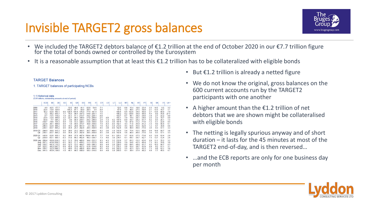# Invisible TARGET2 gross balances



- We included the TARGET2 debtors balance of €1.2 trillion at the end of October 2020 in our €7.7 trillion figure for the total of bonds owned or controlled by the Eurosystem
- It is a reasonable assumption that at least this €1.2 trillion has to be collateralized with eligible bonds

#### **TARGET Balances**

1. TARGET balances of participating NCBs

#### 1.1 Historical data (EUR billions; outstanding amounts at end of period)

|                           | <b>ECB</b>                 | <b>BE</b>          | DF                             | EE               | ΙE                            | GR                 | <b>ESI</b>                                            | <b>FR</b>          | IT                              | <b>CY</b>        | 1V               | LТ               | ТU                 | <b>MT</b>        | <b>NL</b>    | AT                 | PT                 | <b>SI</b>        | <b>SKI</b>         | FII          | $U4$ <sup>1)</sup> |
|---------------------------|----------------------------|--------------------|--------------------------------|------------------|-------------------------------|--------------------|-------------------------------------------------------|--------------------|---------------------------------|------------------|------------------|------------------|--------------------|------------------|--------------|--------------------|--------------------|------------------|--------------------|--------------|--------------------|
| 2009<br>2010              | 40<br>$-224$               | $-42.5$<br>$-13.9$ | 1777<br>325.6                  |                  | $-53.5$<br>$-145.2$           | $-49.0$<br>$-87.1$ | $-41.1$<br>$-50.9$                                    | $-62.0$<br>$-28.3$ | 54.8<br>34                      | $-7.1$<br>$-6.4$ |                  |                  | 52.5<br>67.9       | $-0.8$<br>$-1.2$ | 15.4<br>40.5 | $-19.6$<br>$-27.5$ | $-23.4$<br>$-59.9$ | $-3.3$<br>$-2.1$ | $-14.5$<br>$-13.3$ | 95<br>19.7   | 32<br>1.1          |
| 2011                      | 42.2                       | $-52.9$            | 4631                           |                  | $0.6 - 120.4 - 104.8 - 175.0$ |                    |                                                       |                    | $-774 - 1914$                   | $-7.9$           |                  |                  | 109.4              | $-0.4$           | 1528         | $-34.6$            | $-60.9$            | $-27$            | $-13.6$            | 66.0         | 7.9                |
| 2012                      | $-22$                      |                    | $-382$ 655.7                   | 17               | $-79.3$                       |                    | $-98.4 - 337.3$                                       |                    | $-54.8 - 255.1$                 | $-7.5$           |                  |                  | 106.2              | $-0.2$           | 120.8        | $-39.9$            | $-66.0$            | $-4.4$           | 0.9                | 70.6         | 27.4               |
| 2013<br>2014              | $-67$<br>$-236$            |                    | $-155$ 5102<br>$-124$ 460.8    | 18<br>32         | $-55.1$<br>$-227$             |                    | $-511 - 2137$<br>$-49.3 - 189.9$                      |                    | $-16.2 -229.1$<br>$-170 - 2089$ | $-6.8$<br>$-2.5$ | $-0.8$           |                  | 103.7<br>105.1     | $-07$<br>$-1.9$  | 46.1<br>19.4 | $-39.2$<br>$-30.1$ | $-59.6$<br>$-54.6$ | $-1.0$<br>24     | 27<br>22           | 22.2<br>19.7 | 8.0<br>0.9         |
| 2015                      | $-83.8$                    |                    | $-77.5842$                     | 28               | $-30$                         |                    | $-944 - 2541$                                         |                    | $-292 - 2489$                   | 24               | $-1.3$           |                  | 02, 1476           | $-0.9$           | 547          | $-292$             | $-617$             | 02               | 0.5                | 201          | 1.5                |
| 2016                      | $-159.7$                   |                    | $-18.6$ 754.3                  | 0.9              | $-1.0$                        |                    | $-72.3 - 328.1$                                       |                    | $-13.8 - 356.6$                 | 59               | $-5.3$           | $-36$            | 187.4              | 10               | 87.0         | $-31.2$            | $-71.6$            | $-1.2$           | $-5.1$             | 22.0         | 9.5                |
| 2017                      | $-222.8$                   | $-36.1$            | 906.9                          | 09               | 1.9                           |                    | $-59.4 - 373.7$                                       |                    | 30.0 -439.0                     | 74               | $-6.3$           | $-4.0$           | 192.1              | 43               | 71.0         | $-45.9$            | $-81.2$            | $-1.4$           | 9.0                | 40.4         | 6.1                |
| 2018<br>2019              | $-246.5$<br>$-236.1$       | $-52.9$<br>$-63.7$ | 966.2<br>895.2                 | 0.8<br>06        | 14.3<br>35.4                  |                    | $-28.6 - 401.9$<br>$-25.7 - 392.4$                    |                    | $-2.3 - 482.0$<br>28.5 -439.4   | 7.8<br>8.5       | $-6.2$<br>$-3.8$ | $-5.8$<br>$-0.9$ | 213.0<br>192.4     | 4.5<br>56        | 92.6<br>46.4 | $-45.6$<br>$-46.6$ | $-82.8$<br>$-77.0$ | 1.2<br>34        | 9.7<br>9.3         | 39.8<br>57.1 | 4.6<br>3.3         |
| 2019 Q3<br>O4             | $-244.0$<br>$-236.1$       | $-63.7$            | $-39.9$ 915.3<br>895.2         | 08<br>0.6        | 28.0<br>35.4                  |                    | $-23.2 - 383.5$<br>$-25.7 - 392.4$                    |                    | $-36.7 - 468.0$<br>28.5 -439.4  | 8.2<br>8.5       | $-3.6$<br>$-3.8$ | $-1.8$<br>$-0.9$ | 215.9<br>192.4     | 54<br>56         | 75.6<br>46.4 | $-52.5$<br>$-46.6$ | $-80.6$<br>$-77.0$ | 0.9<br>3.4       | 10.8<br>93         | 69.7<br>57.1 | 30<br>3.3          |
| 2020 Q1<br>O <sub>2</sub> | $-143.6$<br>$-259.9$       |                    | $-52.8$ 935.1<br>$-63.1$ 995.1 | 0.2<br>$-0.3$    | 36.6<br>51.0                  |                    | $-37.0$ $-407.4$ $-109.4$ $-491.6$<br>$-66.3 - 462.4$ |                    | 48.3 -536.7                     | 7.7<br>73        | $-3.4$<br>$-4.0$ | $-0.1$<br>3.8    | 225.1<br>234.7     | 5.7<br>61        | 62.8<br>69.7 | $-37.5$<br>$-36.7$ | $-73.8$<br>$-82.7$ | 4.5<br>75        | 12.6<br>13.7       | 63.4<br>72.4 | 29<br>2.6          |
| 2020 July -289.4          |                            |                    | $-50.91.019.2$                 | $-0.5$           | 51.3                          |                    | $-70.0 - 460.6$                                       |                    | 34.4 -522.2                     | 8.3              | $-4.3$           |                  | 5.5 232.8          | 5.7              | 65.2         | $-33.2$            | $-83.0$            | 6.9              | 11.1               | 70.2         | 32                 |
|                           | Aug. -297.1<br>Sep. -310.7 |                    | -42.81.056.2<br>$-64.31.115.2$ | $-0.5$<br>$-0.6$ | 50.2<br>52.3                  |                    | $-71.7 - 458.5$<br>$-73.3 - 464.7$                    |                    | 11.3 -522.9<br>19.9 - 546.3     | 8.8<br>88        | $-4.5$<br>$-4.4$ | 58               | 5.7 228.9<br>229.3 | 5.9<br>60        | 54.6<br>69.5 | $-43.3$<br>$-48.4$ | $-80.4$<br>$-817$  | 73<br>65         | 10.1<br>10.3       | 78.6<br>66.7 | 3.9<br>4.3         |
|                           | Oct. -323.7                |                    | -48.21.047.3                   | $-0.9$           | 45.4                          |                    | $-73.6$ $-457.2$                                      |                    | 61.8 -519.6                     | 82               | $-4.4$           |                  | 7.1 235.1          | 5.6              | 55.4         | $-36.7$            | $-81.9$            | 6.9              | 92                 | 61.1         | 3.1                |
|                           | Nov. -330.7                |                    | $-32.21.060.3$                 | $-1.2$           | 48.0                          |                    | $-75.2 - 480.4$                                       |                    | 40.4 -494.9                     | 8.5              | $-4.5$           | 80               | 242.2              | 5.5              | 42.3         | $-35.5$            | $-83.3$            | 7.3              | 9.8                | 62.1         | 3.6                |
|                           | Dec -341.5                 |                    | $-65911360$                    | $-10$            | 461                           |                    | $-80.3 - 500.0$                                       |                    | 58.3 -516.0                     | 84               | $-48$            | 58               | 259.3              | 61               | 38.4         | $-374$             | $-802$             | 68               | 77                 | 49.5         | 47                 |

- But  $E1.2$  trillion is already a netted figure
- We do not know the original, gross balances on the 600 current accounts run by the TARGET2 participants with one another
- A higher amount than the  $E1.2$  trillion of net debtors that we are shown might be collateralised with eligible bonds
- The netting is legally spurious anyway and of short duration – it lasts for the 45 minutes at most of the TARGET2 end-of-day, and is then reversed…
- ...and the ECB reports are only for one business day per month

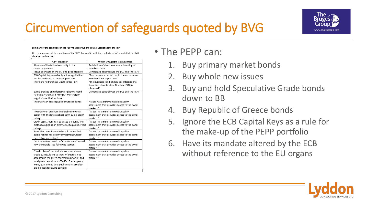# Circumvention of safeguards quoted by BVG



Here is a summary of the conditions of the PEPP that conflict with the comfort and safeguards that the BVG observed in the PSPP

| <b>PEPP condition</b>                            | Which BVG point is countered                 |
|--------------------------------------------------|----------------------------------------------|
| Absence of limitation to activity to the         | Prohibition of direct monetary financing of  |
| secondary market                                 | member states                                |
| Tenuous linkage of the PEPP to price stability   | Democratic control over the ECB and the PEPP |
| ECB Capital Keys need only act as a guideline    | "Purchases are carried out in the accordance |
| for the make-up of the PEPP portfolio            | with the ECB's capital key"                  |
| There are no Purchase Limits in the PEPP         | "The purchase limit of 33% per International |
|                                                  | Securities Identification Number (ISIN) is   |
|                                                  | observed"                                    |
| ECB is granted an unfettered right to amend      | Democratic control over the ECB and the PEPP |
| Decision 2020/440 if they feel that its text     |                                              |
| might hinder their actions                       |                                              |
| The PEPP can buy Republic of Greece bonds        | "Issuer has a minimum credit quality         |
|                                                  | assessment that provides access to the bond  |
|                                                  | markets"                                     |
| The PEPP can buy non-financial commercial        | "Issuer has a minimum credit quality         |
| paper with the lowest short-term public credit   | assessment that provides access to the bond  |
| ratings                                          | markets"                                     |
| Credit assessment can be based on banks' IRB     | "Issuer has a minimum credit quality         |
| methodologies as an alternative to public credit | assessment that provides access to the bond  |
| ratings                                          | markets"                                     |
| Securities do not have to be sold when their     | "Issuer has a minimum credit quality         |
| public ratings fall below "Investment Grade"     | assessment that provides access to the bond  |
| (see following section)                          | markets"                                     |
| Debt securities based on "Credit claims" would   | "Issuer has a minimum credit quality         |
| now be eligible (see following section)          | assessment that provides access to the bond  |
|                                                  | markets"                                     |
| "Credit claims" can include loans with lower     | "Issuer has a minimum credit quality         |
| credit quality, loans to types of debtors not    | assessment that provides access to the bond  |
| accepted in the ECB's general framework, and     | markets"                                     |
| foreign-currency loans. COVID-19 emergency       |                                              |
| loans, guaranteed by a public entity, are also   |                                              |
| eligible (see following section)                 |                                              |

#### • The PEPP can:

- 1. Buy primary market bonds
- 2. Buy whole new issues
- 3. Buy and hold Speculative Grade bonds down to BB
- 4. Buy Republic of Greece bonds
- 5. Ignore the ECB Capital Keys as a rule for the make-up of the PEPP portfolio
- 6. Have its mandate altered by the ECB without reference to the EU organs

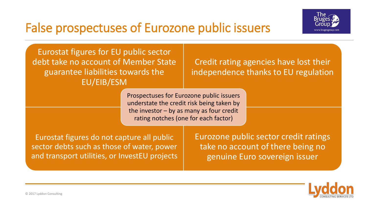# False prospectuses of Eurozone public issuers



Eurostat figures for EU public sector debt take no account of Member State guarantee liabilities towards the EU/EIB/ESM

Credit rating agencies have lost their independence thanks to EU regulation

Prospectuses for Eurozone public issuers understate the credit risk being taken by the investor – by as many as four credit rating notches (one for each factor)

Eurostat figures do not capture all public sector debts such as those of water, power and transport utilities, or InvestEU projects Eurozone public sector credit ratings take no account of there being no genuine Euro sovereign issuer

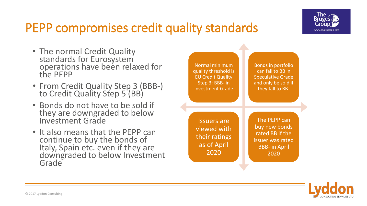

# PEPP compromises credit quality standards

- The normal Credit Quality standards for Eurosystem operations have been relaxed for the PEPP
- From Credit Quality Step 3 (BBB-) to Credit Quality Step 5 (BB)
- Bonds do not have to be sold if they are downgraded to below Investment Grade
- It also means that the PEPP can continue to buy the bonds of Italy, Spain etc. even if they are downgraded to below Investment Grade



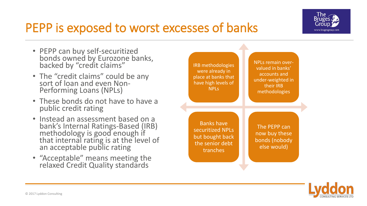

### PEPP is exposed to worst excesses of banks

- PEPP can buy self-securitized bonds owned by Eurozone banks, backed by "credit claims"
- The "credit claims" could be any sort of loan and even Non-Performing Loans (NPLs)
- These bonds do not have to have a public credit rating
- Instead an assessment based on a bank's Internal Ratings-Based (IRB) methodology is good enough if that internal rating is at the level of an acceptable public rating
- "Acceptable" means meeting the relaxed Credit Quality standards



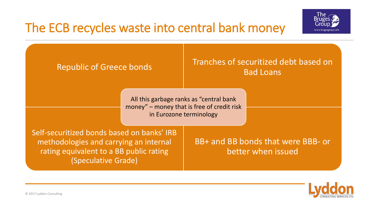



Republic of Greece bonds Tranches of securitized debt based on Bad Loans Self-securitized bonds based on banks' IRB methodologies and carrying an internal rating equivalent to a BB public rating (Speculative Grade) BB+ and BB bonds that were BBB- or better when issued All this garbage ranks as "central bank money" – money that is free of credit risk in Eurozone terminology

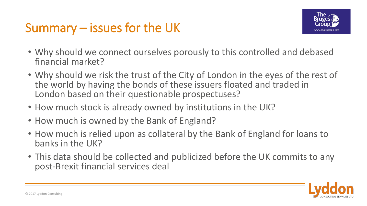

- Why should we connect ourselves porously to this controlled and debased financial market?
- Why should we risk the trust of the City of London in the eyes of the rest of the world by having the bonds of these issuers floated and traded in London based on their questionable prospectuses?
- How much stock is already owned by institutions in the UK?
- How much is owned by the Bank of England?
- How much is relied upon as collateral by the Bank of England for loans to banks in the UK?
- This data should be collected and publicized before the UK commits to any post-Brexit financial services deal